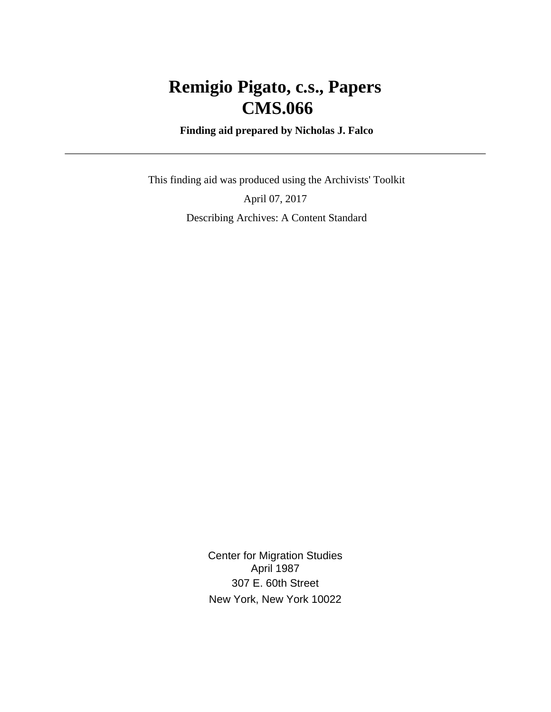# **Remigio Pigato, c.s., Papers CMS.066**

 **Finding aid prepared by Nicholas J. Falco**

 This finding aid was produced using the Archivists' Toolkit April 07, 2017 Describing Archives: A Content Standard

> Center for Migration Studies April 1987 307 E. 60th Street New York, New York 10022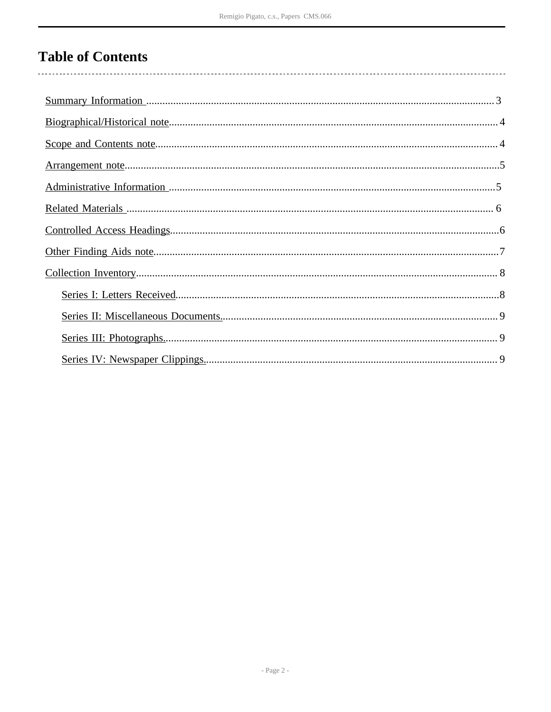# **Table of Contents**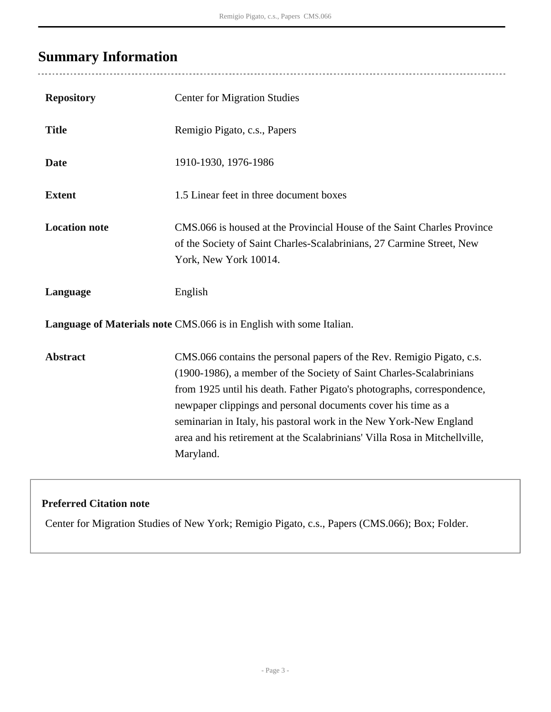# <span id="page-2-0"></span>**Summary Information**

 $\overline{a}$ 

| <b>Repository</b>                                                   | <b>Center for Migration Studies</b>                                                                                                                                                                                                                                                                                                                                                                                                                       |  |  |  |
|---------------------------------------------------------------------|-----------------------------------------------------------------------------------------------------------------------------------------------------------------------------------------------------------------------------------------------------------------------------------------------------------------------------------------------------------------------------------------------------------------------------------------------------------|--|--|--|
| <b>Title</b>                                                        | Remigio Pigato, c.s., Papers                                                                                                                                                                                                                                                                                                                                                                                                                              |  |  |  |
| <b>Date</b>                                                         | 1910-1930, 1976-1986                                                                                                                                                                                                                                                                                                                                                                                                                                      |  |  |  |
| <b>Extent</b>                                                       | 1.5 Linear feet in three document boxes                                                                                                                                                                                                                                                                                                                                                                                                                   |  |  |  |
| <b>Location note</b>                                                | CMS.066 is housed at the Provincial House of the Saint Charles Province<br>of the Society of Saint Charles-Scalabrinians, 27 Carmine Street, New<br>York, New York 10014.                                                                                                                                                                                                                                                                                 |  |  |  |
| Language                                                            | English                                                                                                                                                                                                                                                                                                                                                                                                                                                   |  |  |  |
| Language of Materials note CMS.066 is in English with some Italian. |                                                                                                                                                                                                                                                                                                                                                                                                                                                           |  |  |  |
| <b>Abstract</b>                                                     | CMS.066 contains the personal papers of the Rev. Remigio Pigato, c.s.<br>(1900-1986), a member of the Society of Saint Charles-Scalabrinians<br>from 1925 until his death. Father Pigato's photographs, correspondence,<br>newpaper clippings and personal documents cover his time as a<br>seminarian in Italy, his pastoral work in the New York-New England<br>area and his retirement at the Scalabrinians' Villa Rosa in Mitchellville,<br>Maryland. |  |  |  |

## **Preferred Citation note**

Center for Migration Studies of New York; Remigio Pigato, c.s., Papers (CMS.066); Box; Folder.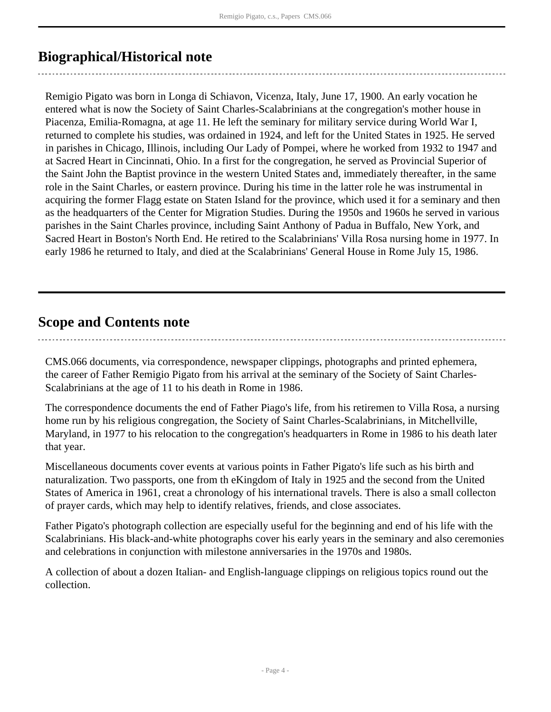## <span id="page-3-0"></span>**Biographical/Historical note**

Remigio Pigato was born in Longa di Schiavon, Vicenza, Italy, June 17, 1900. An early vocation he entered what is now the Society of Saint Charles-Scalabrinians at the congregation's mother house in Piacenza, Emilia-Romagna, at age 11. He left the seminary for military service during World War I, returned to complete his studies, was ordained in 1924, and left for the United States in 1925. He served in parishes in Chicago, Illinois, including Our Lady of Pompei, where he worked from 1932 to 1947 and at Sacred Heart in Cincinnati, Ohio. In a first for the congregation, he served as Provincial Superior of the Saint John the Baptist province in the western United States and, immediately thereafter, in the same role in the Saint Charles, or eastern province. During his time in the latter role he was instrumental in acquiring the former Flagg estate on Staten Island for the province, which used it for a seminary and then as the headquarters of the Center for Migration Studies. During the 1950s and 1960s he served in various parishes in the Saint Charles province, including Saint Anthony of Padua in Buffalo, New York, and Sacred Heart in Boston's North End. He retired to the Scalabrinians' Villa Rosa nursing home in 1977. In early 1986 he returned to Italy, and died at the Scalabrinians' General House in Rome July 15, 1986.

## <span id="page-3-1"></span>**Scope and Contents note**

CMS.066 documents, via correspondence, newspaper clippings, photographs and printed ephemera, the career of Father Remigio Pigato from his arrival at the seminary of the Society of Saint Charles-Scalabrinians at the age of 11 to his death in Rome in 1986.

The correspondence documents the end of Father Piago's life, from his retiremen to Villa Rosa, a nursing home run by his religious congregation, the Society of Saint Charles-Scalabrinians, in Mitchellville, Maryland, in 1977 to his relocation to the congregation's headquarters in Rome in 1986 to his death later that year.

Miscellaneous documents cover events at various points in Father Pigato's life such as his birth and naturalization. Two passports, one from th eKingdom of Italy in 1925 and the second from the United States of America in 1961, creat a chronology of his international travels. There is also a small collecton of prayer cards, which may help to identify relatives, friends, and close associates.

Father Pigato's photograph collection are especially useful for the beginning and end of his life with the Scalabrinians. His black-and-white photographs cover his early years in the seminary and also ceremonies and celebrations in conjunction with milestone anniversaries in the 1970s and 1980s.

A collection of about a dozen Italian- and English-language clippings on religious topics round out the collection.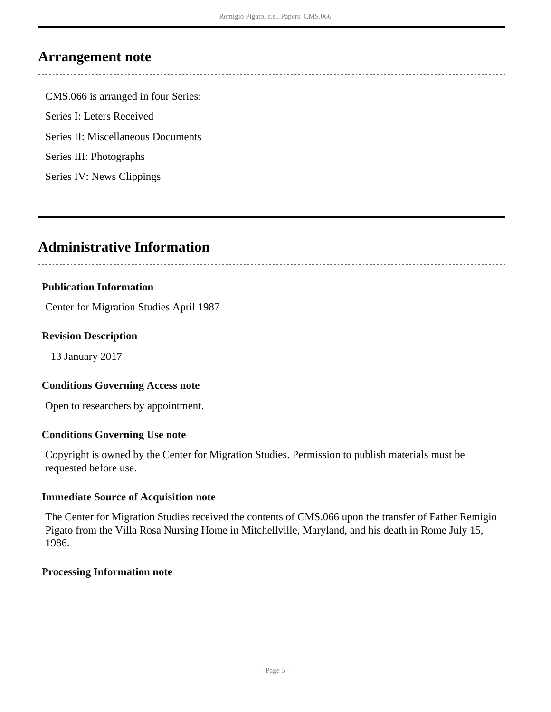## <span id="page-4-0"></span>**Arrangement note**

CMS.066 is arranged in four Series: Series I: Leters Received Series II: Miscellaneous Documents Series III: Photographs Series IV: News Clippings

## <span id="page-4-1"></span>**Administrative Information**

## **Publication Information**

Center for Migration Studies April 1987

### **Revision Description**

13 January 2017

### **Conditions Governing Access note**

Open to researchers by appointment.

### **Conditions Governing Use note**

Copyright is owned by the Center for Migration Studies. Permission to publish materials must be requested before use.

### **Immediate Source of Acquisition note**

The Center for Migration Studies received the contents of CMS.066 upon the transfer of Father Remigio Pigato from the Villa Rosa Nursing Home in Mitchellville, Maryland, and his death in Rome July 15, 1986.

### **Processing Information note**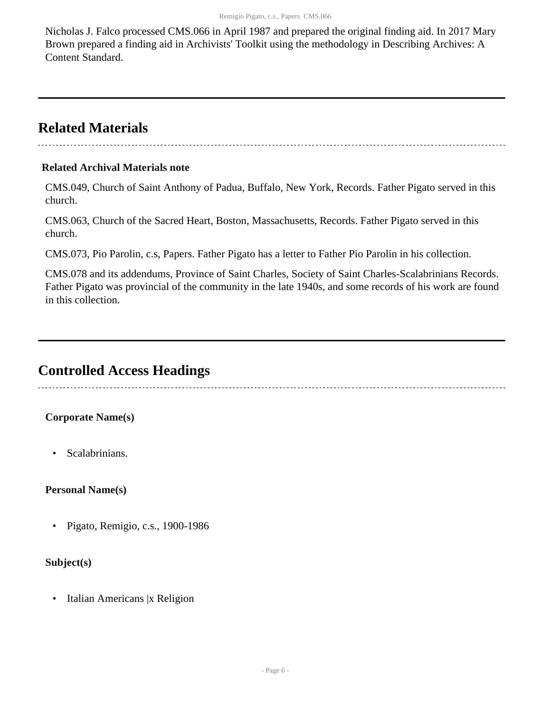Nicholas J. Falco processed CMS.066 in April 1987 and prepared the original finding aid. In 2017 Mary Brown prepared a finding aid in Archivists' Toolkit using the methodology in Describing Archives: A Content Standard.

## <span id="page-5-0"></span>**Related Materials**

## **Related Archival Materials note**

CMS.049, Church of Saint Anthony of Padua, Buffalo, New York, Records. Father Pigato served in this church.

CMS.063, Church of the Sacred Heart, Boston, Massachusetts, Records. Father Pigato served in this church.

CMS.073, Pio Parolin, c.s, Papers. Father Pigato has a letter to Father Pio Parolin in his collection.

CMS.078 and its addendums, Province of Saint Charles, Society of Saint Charles-Scalabrinians Records. Father Pigato was provincial of the community in the late 1940s, and some records of his work are found in this collection.

## <span id="page-5-1"></span>**Controlled Access Headings**

## **Corporate Name(s)**

• Scalabrinians.

## **Personal Name(s)**

• Pigato, Remigio, c.s., 1900-1986

## **Subject(s)**

• Italian Americans |x Religion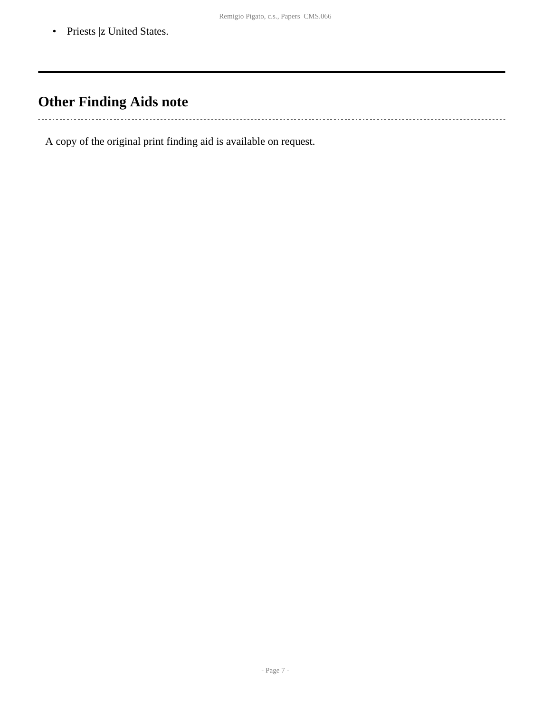• Priests |z United States.

# <span id="page-6-0"></span>**Other Finding Aids note**

. . . . . . . . . . . . . . . . . 

A copy of the original print finding aid is available on request.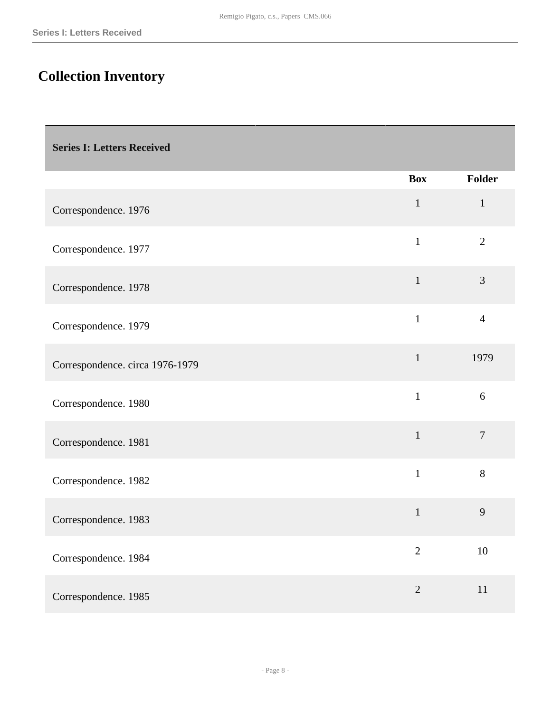# <span id="page-7-0"></span>**Collection Inventory**

<span id="page-7-1"></span>

|                                 | <b>Box</b>     | <b>Folder</b>  |
|---------------------------------|----------------|----------------|
| Correspondence. 1976            | $\mathbf{1}$   | $\mathbf{1}$   |
| Correspondence. 1977            | $\mathbf{1}$   | $\overline{2}$ |
| Correspondence. 1978            | $\mathbf{1}$   | 3              |
| Correspondence. 1979            | $\mathbf{1}$   | $\overline{4}$ |
| Correspondence. circa 1976-1979 | $\mathbf{1}$   | 1979           |
| Correspondence. 1980            | $\mathbf{1}$   | 6              |
| Correspondence. 1981            | $\mathbf{1}$   | $\overline{7}$ |
| Correspondence. 1982            | $\mathbf{1}$   | 8              |
| Correspondence. 1983            | $\mathbf{1}$   | 9              |
| Correspondence. 1984            | $\overline{2}$ | 10             |
| Correspondence. 1985            | $\overline{2}$ | 11             |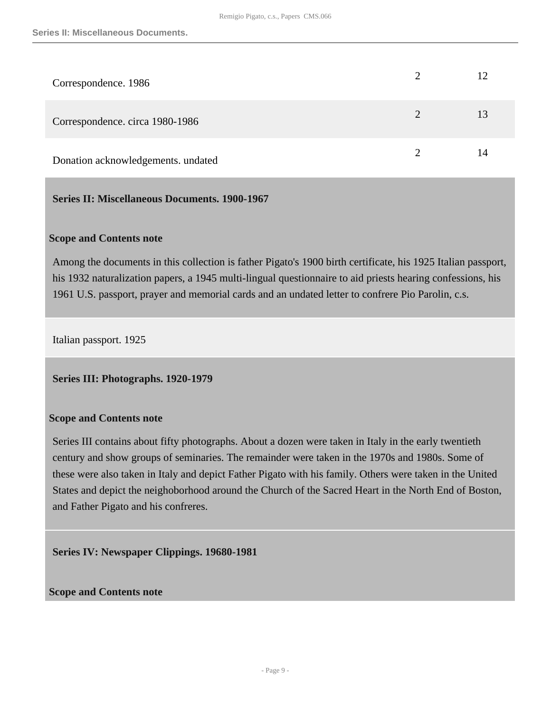| Correspondence. 1986               |   | 12 |
|------------------------------------|---|----|
| Correspondence. circa 1980-1986    | 2 | 13 |
| Donation acknowledgements. undated |   | 14 |

## <span id="page-8-0"></span>**Series II: Miscellaneous Documents. 1900-1967**

#### **Scope and Contents note**

Among the documents in this collection is father Pigato's 1900 birth certificate, his 1925 Italian passport, his 1932 naturalization papers, a 1945 multi-lingual questionnaire to aid priests hearing confessions, his 1961 U.S. passport, prayer and memorial cards and an undated letter to confrere Pio Parolin, c.s.

Italian passport. 1925

<span id="page-8-1"></span>**Series III: Photographs. 1920-1979** 

#### **Scope and Contents note**

Series III contains about fifty photographs. About a dozen were taken in Italy in the early twentieth century and show groups of seminaries. The remainder were taken in the 1970s and 1980s. Some of these were also taken in Italy and depict Father Pigato with his family. Others were taken in the United States and depict the neighoborhood around the Church of the Sacred Heart in the North End of Boston, and Father Pigato and his confreres.

<span id="page-8-2"></span>**Series IV: Newspaper Clippings. 19680-1981** 

**Scope and Contents note**